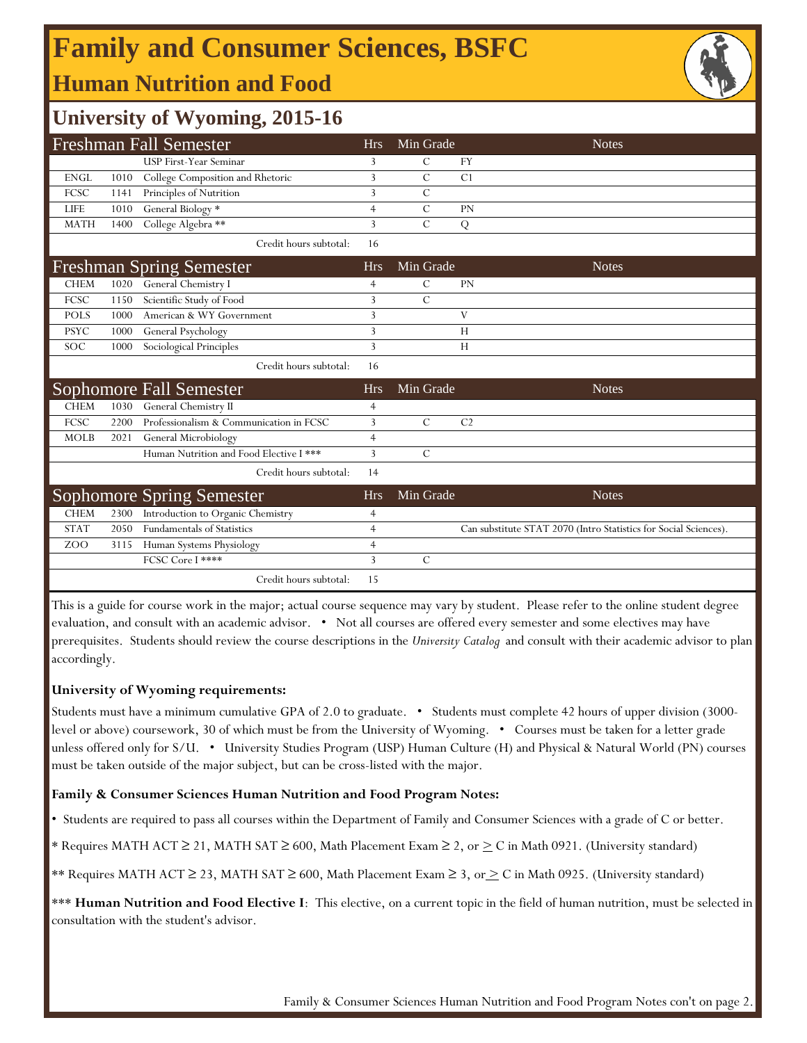# **Family and Consumer Sciences, BSFC**

### **Human Nutrition and Food**



### **University of Wyoming, 2015-16**

|             |      | <b>Freshman Fall Semester</b>           | <b>Hrs</b>     | Min Grade      | <b>Notes</b>                                                     |
|-------------|------|-----------------------------------------|----------------|----------------|------------------------------------------------------------------|
|             |      | <b>USP First-Year Seminar</b>           | 3              | $\mathcal{C}$  | <b>FY</b>                                                        |
| <b>ENGL</b> | 1010 | College Composition and Rhetoric        | 3              | C              | C <sub>1</sub>                                                   |
| FCSC        | 1141 | Principles of Nutrition                 | 3              | C              |                                                                  |
| <b>LIFE</b> | 1010 | General Biology *                       | 4              | $\mathcal{C}$  | PN                                                               |
| <b>MATH</b> | 1400 | College Algebra **                      | 3              | $\overline{C}$ | ${\bf Q}$                                                        |
|             |      | Credit hours subtotal:                  | 16             |                |                                                                  |
|             |      | <b>Freshman Spring Semester</b>         | <b>Hrs</b>     | Min Grade      | <b>Notes</b>                                                     |
| <b>CHEM</b> | 1020 | General Chemistry I                     | 4              | C              | PN                                                               |
| FCSC        | 1150 | Scientific Study of Food                | 3              | $\mathcal{C}$  |                                                                  |
| <b>POLS</b> | 1000 | American & WY Government                | 3              |                | V                                                                |
| <b>PSYC</b> | 1000 | General Psychology                      | 3              |                | H                                                                |
| <b>SOC</b>  | 1000 | Sociological Principles                 | 3              |                | H                                                                |
|             |      | Credit hours subtotal:                  | 16             |                |                                                                  |
|             |      | <b>Sophomore Fall Semester</b>          | <b>Hrs</b>     | Min Grade      | <b>Notes</b>                                                     |
| <b>CHEM</b> | 1030 | General Chemistry II                    | 4              |                |                                                                  |
| FCSC        | 2200 | Professionalism & Communication in FCSC | 3              | $\mathcal{C}$  | C <sub>2</sub>                                                   |
| <b>MOLB</b> | 2021 | General Microbiology                    | $\overline{4}$ |                |                                                                  |
|             |      | Human Nutrition and Food Elective I *** | 3              | $\mathcal{C}$  |                                                                  |
|             |      | Credit hours subtotal:                  | 14             |                |                                                                  |
|             |      | Sophomore Spring Semester               | <b>Hrs</b>     | Min Grade      | <b>Notes</b>                                                     |
| <b>CHEM</b> | 2300 | Introduction to Organic Chemistry       | 4              |                |                                                                  |
| <b>STAT</b> | 2050 | <b>Fundamentals of Statistics</b>       | 4              |                | Can substitute STAT 2070 (Intro Statistics for Social Sciences). |
| ZOO         | 3115 | Human Systems Physiology                | 4              |                |                                                                  |
|             |      | FCSC Core I ****                        | 3              | $\mathcal{C}$  |                                                                  |
|             |      | Credit hours subtotal:                  | 15             |                |                                                                  |

This is a guide for course work in the major; actual course sequence may vary by student. Please refer to the online student degree evaluation, and consult with an academic advisor. • Not all courses are offered every semester and some electives may have prerequisites. Students should review the course descriptions in the *University Catalog* and consult with their academic advisor to plan accordingly.

#### **University of Wyoming requirements:**

Students must have a minimum cumulative GPA of 2.0 to graduate. • Students must complete 42 hours of upper division (3000 level or above) coursework, 30 of which must be from the University of Wyoming. • Courses must be taken for a letter grade unless offered only for S/U. • University Studies Program (USP) Human Culture (H) and Physical & Natural World (PN) courses must be taken outside of the major subject, but can be cross-listed with the major.

#### **Family & Consumer Sciences Human Nutrition and Food Program Notes:**

• Students are required to pass all courses within the Department of Family and Consumer Sciences with a grade of C or better.

\* Requires MATH ACT ≥ 21, MATH SAT ≥ 600, Math Placement Exam ≥ 2, or > C in Math 0921. (University standard)

\*\* Requires MATH ACT ≥ 23, MATH SAT ≥ 600, Math Placement Exam ≥ 3, or > C in Math 0925. (University standard)

\*\*\* Human Nutrition and Food Elective I: This elective, on a current topic in the field of human nutrition, must be selected in consultation with the student's advisor.